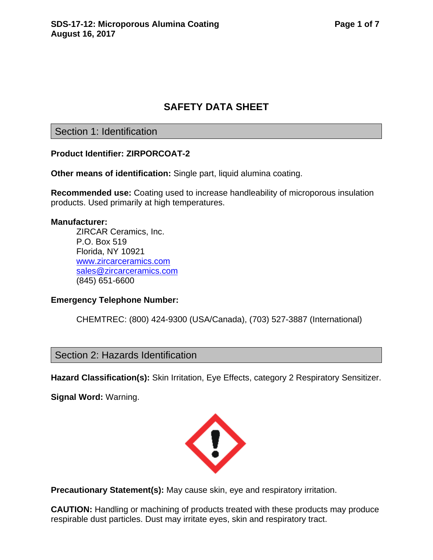# **SAFETY DATA SHEET**

# Section 1: Identification

# **Product Identifier: ZIRPORCOAT-2**

**Other means of identification:** Single part, liquid alumina coating.

**Recommended use:** Coating used to increase handleability of microporous insulation products. Used primarily at high temperatures.

#### **Manufacturer:**

ZIRCAR Ceramics, Inc. P.O. Box 519 Florida, NY 10921 [www.zircarceramics.com](http://www.zircarceramics.com/) [sales@zircarceramics.com](mailto:sales@zircarceramics.com) (845) 651-6600

## **Emergency Telephone Number:**

CHEMTREC: (800) 424-9300 (USA/Canada), (703) 527-3887 (International)

Section 2: Hazards Identification

**Hazard Classification(s):** Skin Irritation, Eye Effects, category 2 Respiratory Sensitizer.

**Signal Word:** Warning.



**Precautionary Statement(s):** May cause skin, eye and respiratory irritation.

**CAUTION:** Handling or machining of products treated with these products may produce respirable dust particles. Dust may irritate eyes, skin and respiratory tract.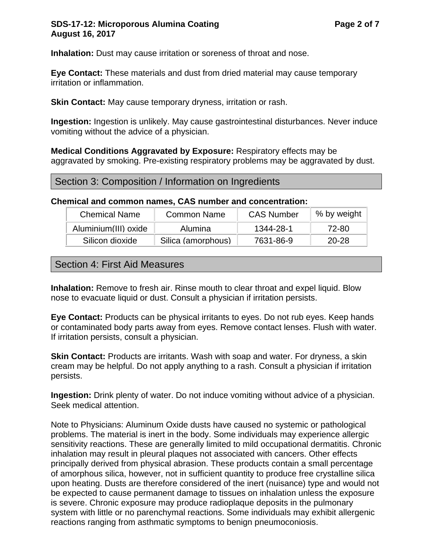### **SDS-17-12: Microporous Alumina Coating Coating Page 2 of 7 and 7 and 7 and 7 and 7 and 7 and 7 and 7 and 7 and 7 and 7 and 7 and 7 and 7 and 7 and 7 and 7 and 7 and 7 and 7 and 7 and 7 and 7 and 7 and 7 and 7 and 7 and 7 August 16, 2017**

**Inhalation:** Dust may cause irritation or soreness of throat and nose.

**Eye Contact:** These materials and dust from dried material may cause temporary irritation or inflammation.

**Skin Contact:** May cause temporary dryness, irritation or rash.

**Ingestion:** Ingestion is unlikely. May cause gastrointestinal disturbances. Never induce vomiting without the advice of a physician.

**Medical Conditions Aggravated by Exposure:** Respiratory effects may be aggravated by smoking. Pre-existing respiratory problems may be aggravated by dust.

## Section 3: Composition / Information on Ingredients

#### **Chemical and common names, CAS number and concentration:**

| <b>Chemical Name</b> | Common Name        | <b>CAS Number</b> | % by weight |
|----------------------|--------------------|-------------------|-------------|
| Aluminium(III) oxide | Alumina            | 1344-28-1         | 72-80       |
| Silicon dioxide      | Silica (amorphous) | 7631-86-9         | 20-28       |

#### Section 4: First Aid Measures

**Inhalation:** Remove to fresh air. Rinse mouth to clear throat and expel liquid. Blow nose to evacuate liquid or dust. Consult a physician if irritation persists.

**Eye Contact:** Products can be physical irritants to eyes. Do not rub eyes. Keep hands or contaminated body parts away from eyes. Remove contact lenses. Flush with water. If irritation persists, consult a physician.

**Skin Contact:** Products are irritants. Wash with soap and water. For dryness, a skin cream may be helpful. Do not apply anything to a rash. Consult a physician if irritation persists.

**Ingestion:** Drink plenty of water. Do not induce vomiting without advice of a physician. Seek medical attention.

Note to Physicians: Aluminum Oxide dusts have caused no systemic or pathological problems. The material is inert in the body. Some individuals may experience allergic sensitivity reactions. These are generally limited to mild occupational dermatitis. Chronic inhalation may result in pleural plaques not associated with cancers. Other effects principally derived from physical abrasion. These products contain a small percentage of amorphous silica, however, not in sufficient quantity to produce free crystalline silica upon heating. Dusts are therefore considered of the inert (nuisance) type and would not be expected to cause permanent damage to tissues on inhalation unless the exposure is severe. Chronic exposure may produce radioplaque deposits in the pulmonary system with little or no parenchymal reactions. Some individuals may exhibit allergenic reactions ranging from asthmatic symptoms to benign pneumoconiosis.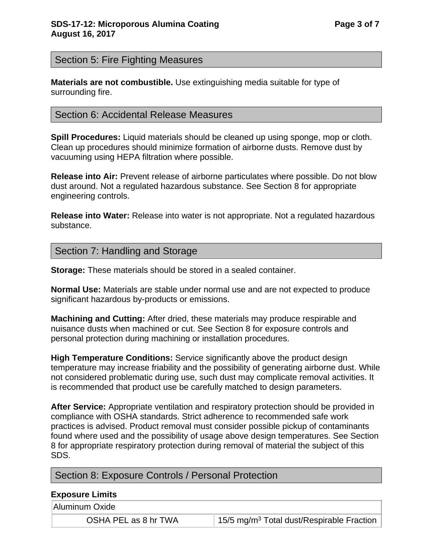# Section 5: Fire Fighting Measures

**Materials are not combustible.** Use extinguishing media suitable for type of surrounding fire.

# Section 6: Accidental Release Measures

**Spill Procedures:** Liquid materials should be cleaned up using sponge, mop or cloth. Clean up procedures should minimize formation of airborne dusts. Remove dust by vacuuming using HEPA filtration where possible.

**Release into Air:** Prevent release of airborne particulates where possible. Do not blow dust around. Not a regulated hazardous substance. See Section 8 for appropriate engineering controls.

**Release into Water:** Release into water is not appropriate. Not a regulated hazardous substance.

# Section 7: Handling and Storage

**Storage:** These materials should be stored in a sealed container.

**Normal Use:** Materials are stable under normal use and are not expected to produce significant hazardous by-products or emissions.

**Machining and Cutting:** After dried, these materials may produce respirable and nuisance dusts when machined or cut. See Section 8 for exposure controls and personal protection during machining or installation procedures.

**High Temperature Conditions:** Service significantly above the product design temperature may increase friability and the possibility of generating airborne dust. While not considered problematic during use, such dust may complicate removal activities. It is recommended that product use be carefully matched to design parameters.

**After Service:** Appropriate ventilation and respiratory protection should be provided in compliance with OSHA standards. Strict adherence to recommended safe work practices is advised. Product removal must consider possible pickup of contaminants found where used and the possibility of usage above design temperatures. See Section 8 for appropriate respiratory protection during removal of material the subject of this SDS.

Section 8: Exposure Controls / Personal Protection

#### **Exposure Limits**

| Aluminum Oxide       |                                                       |
|----------------------|-------------------------------------------------------|
| OSHA PEL as 8 hr TWA | 15/5 mg/m <sup>3</sup> Total dust/Respirable Fraction |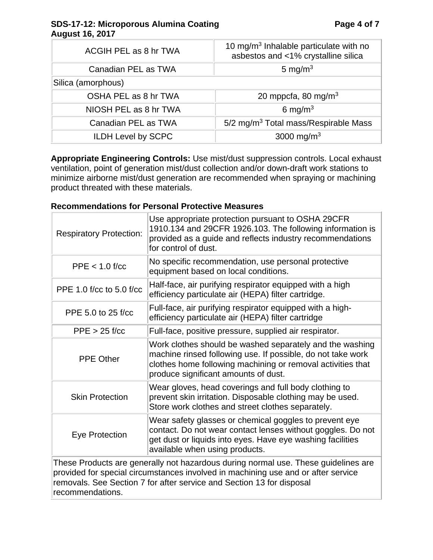# SDS-17-12: Microporous Alumina Coating **Page 4** of 7 **August 16, 2017**

| ACGIH PEL as 8 hr TWA | 10 mg/m <sup>3</sup> Inhalable particulate with no<br>asbestos and <1% crystalline silica |
|-----------------------|-------------------------------------------------------------------------------------------|
| Canadian PEL as TWA   | 5 mg/m <sup>3</sup>                                                                       |
| Silica (amorphous)    |                                                                                           |
| OSHA PEL as 8 hr TWA  | 20 mppcfa, 80 mg/m $3$                                                                    |
| NIOSH PEL as 8 hr TWA | 6 mg/m $3$                                                                                |
| Canadian PEL as TWA   | $5/2$ mg/m <sup>3</sup> Total mass/Respirable Mass                                        |
| ILDH Level by SCPC    | 3000 mg/m <sup>3</sup>                                                                    |

**Appropriate Engineering Controls:** Use mist/dust suppression controls. Local exhaust ventilation, point of generation mist/dust collection and/or down-draft work stations to minimize airborne mist/dust generation are recommended when spraying or machining product threated with these materials.

## **Recommendations for Personal Protective Measures**

| <b>Respiratory Protection:</b> | Use appropriate protection pursuant to OSHA 29CFR<br>1910.134 and 29CFR 1926.103. The following information is<br>provided as a guide and reflects industry recommendations<br>for control of dust.                                              |
|--------------------------------|--------------------------------------------------------------------------------------------------------------------------------------------------------------------------------------------------------------------------------------------------|
| $PPE < 1.0$ f/cc               | No specific recommendation, use personal protective<br>equipment based on local conditions.                                                                                                                                                      |
| PPE 1.0 f/cc to 5.0 f/cc       | Half-face, air purifying respirator equipped with a high<br>efficiency particulate air (HEPA) filter cartridge.                                                                                                                                  |
| PPE 5.0 to 25 f/cc             | Full-face, air purifying respirator equipped with a high-<br>efficiency particulate air (HEPA) filter cartridge                                                                                                                                  |
| $PPE > 25$ f/cc                | Full-face, positive pressure, supplied air respirator.                                                                                                                                                                                           |
| <b>PPE Other</b>               | Work clothes should be washed separately and the washing<br>machine rinsed following use. If possible, do not take work<br>clothes home following machining or removal activities that<br>produce significant amounts of dust.                   |
| <b>Skin Protection</b>         | Wear gloves, head coverings and full body clothing to<br>prevent skin irritation. Disposable clothing may be used.<br>Store work clothes and street clothes separately.                                                                          |
| Eye Protection                 | Wear safety glasses or chemical goggles to prevent eye<br>contact. Do not wear contact lenses without goggles. Do not<br>get dust or liquids into eyes. Have eye washing facilities<br>available when using products.                            |
| recommendations.               | These Products are generally not hazardous during normal use. These guidelines are<br>provided for special circumstances involved in machining use and or after service<br>removals. See Section 7 for after service and Section 13 for disposal |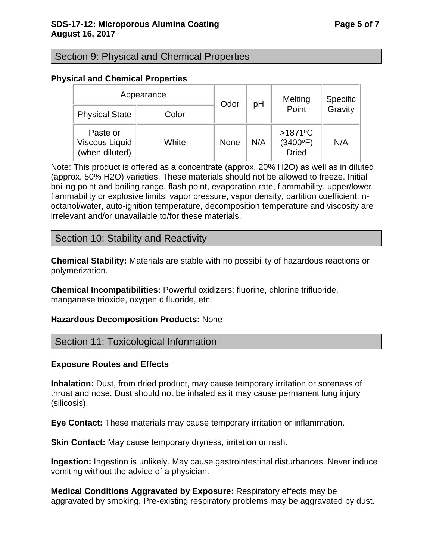# Section 9: Physical and Chemical Properties

# **Physical and Chemical Properties**

| Appearance                                          |       | Odor        | рH  | Melting                                                     | <b>Specific</b> |
|-----------------------------------------------------|-------|-------------|-----|-------------------------------------------------------------|-----------------|
| <b>Physical State</b>                               | Color |             |     | Point                                                       | Gravity         |
| Paste or<br><b>Viscous Liquid</b><br>(when diluted) | White | <b>None</b> | N/A | $>1871$ <sup>o</sup> C<br>$(3400^{\circ}F)$<br><b>Dried</b> | N/A             |

Note: This product is offered as a concentrate (approx. 20% H2O) as well as in diluted (approx. 50% H2O) varieties. These materials should not be allowed to freeze. Initial boiling point and boiling range, flash point, evaporation rate, flammability, upper/lower flammability or explosive limits, vapor pressure, vapor density, partition coefficient: noctanol/water, auto-ignition temperature, decomposition temperature and viscosity are irrelevant and/or unavailable to/for these materials.

# Section 10: Stability and Reactivity

**Chemical Stability:** Materials are stable with no possibility of hazardous reactions or polymerization.

**Chemical Incompatibilities:** Powerful oxidizers; fluorine, chlorine trifluoride, manganese trioxide, oxygen difluoride, etc.

## **Hazardous Decomposition Products:** None

|  | Section 11: Toxicological Information |  |
|--|---------------------------------------|--|
|--|---------------------------------------|--|

## **Exposure Routes and Effects**

**Inhalation:** Dust, from dried product, may cause temporary irritation or soreness of throat and nose. Dust should not be inhaled as it may cause permanent lung injury (silicosis).

**Eye Contact:** These materials may cause temporary irritation or inflammation.

**Skin Contact:** May cause temporary dryness, irritation or rash.

**Ingestion:** Ingestion is unlikely. May cause gastrointestinal disturbances. Never induce vomiting without the advice of a physician.

**Medical Conditions Aggravated by Exposure:** Respiratory effects may be aggravated by smoking. Pre-existing respiratory problems may be aggravated by dust.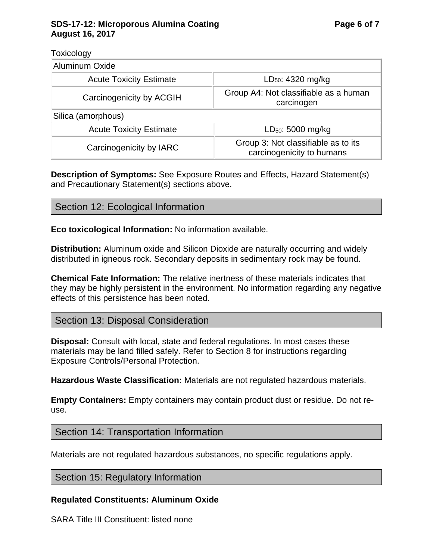## **SDS-17-12: Microporous Alumina Coating Page 6 of 7 August 16, 2017**

| Toxicology                     |                                                                  |
|--------------------------------|------------------------------------------------------------------|
| <b>Aluminum Oxide</b>          |                                                                  |
| <b>Acute Toxicity Estimate</b> | LD <sub>50</sub> : 4320 mg/kg                                    |
| Carcinogenicity by ACGIH       | Group A4: Not classifiable as a human<br>carcinogen              |
| Silica (amorphous)             |                                                                  |
| <b>Acute Toxicity Estimate</b> | LD <sub>50</sub> : 5000 mg/kg                                    |
| Carcinogenicity by IARC        | Group 3: Not classifiable as to its<br>carcinogenicity to humans |

**Description of Symptoms:** See Exposure Routes and Effects, Hazard Statement(s) and Precautionary Statement(s) sections above.

| Section 12: Ecological Information |  |
|------------------------------------|--|
|------------------------------------|--|

**Eco toxicological Information:** No information available.

**Distribution:** Aluminum oxide and Silicon Dioxide are naturally occurring and widely distributed in igneous rock. Secondary deposits in sedimentary rock may be found.

**Chemical Fate Information:** The relative inertness of these materials indicates that they may be highly persistent in the environment. No information regarding any negative effects of this persistence has been noted.

Section 13: Disposal Consideration

**Disposal:** Consult with local, state and federal regulations. In most cases these materials may be land filled safely. Refer to Section 8 for instructions regarding Exposure Controls/Personal Protection.

**Hazardous Waste Classification:** Materials are not regulated hazardous materials.

**Empty Containers:** Empty containers may contain product dust or residue. Do not reuse.

Section 14: Transportation Information

Materials are not regulated hazardous substances, no specific regulations apply.

Section 15: Regulatory Information

**Regulated Constituents: Aluminum Oxide**

SARA Title III Constituent: listed none